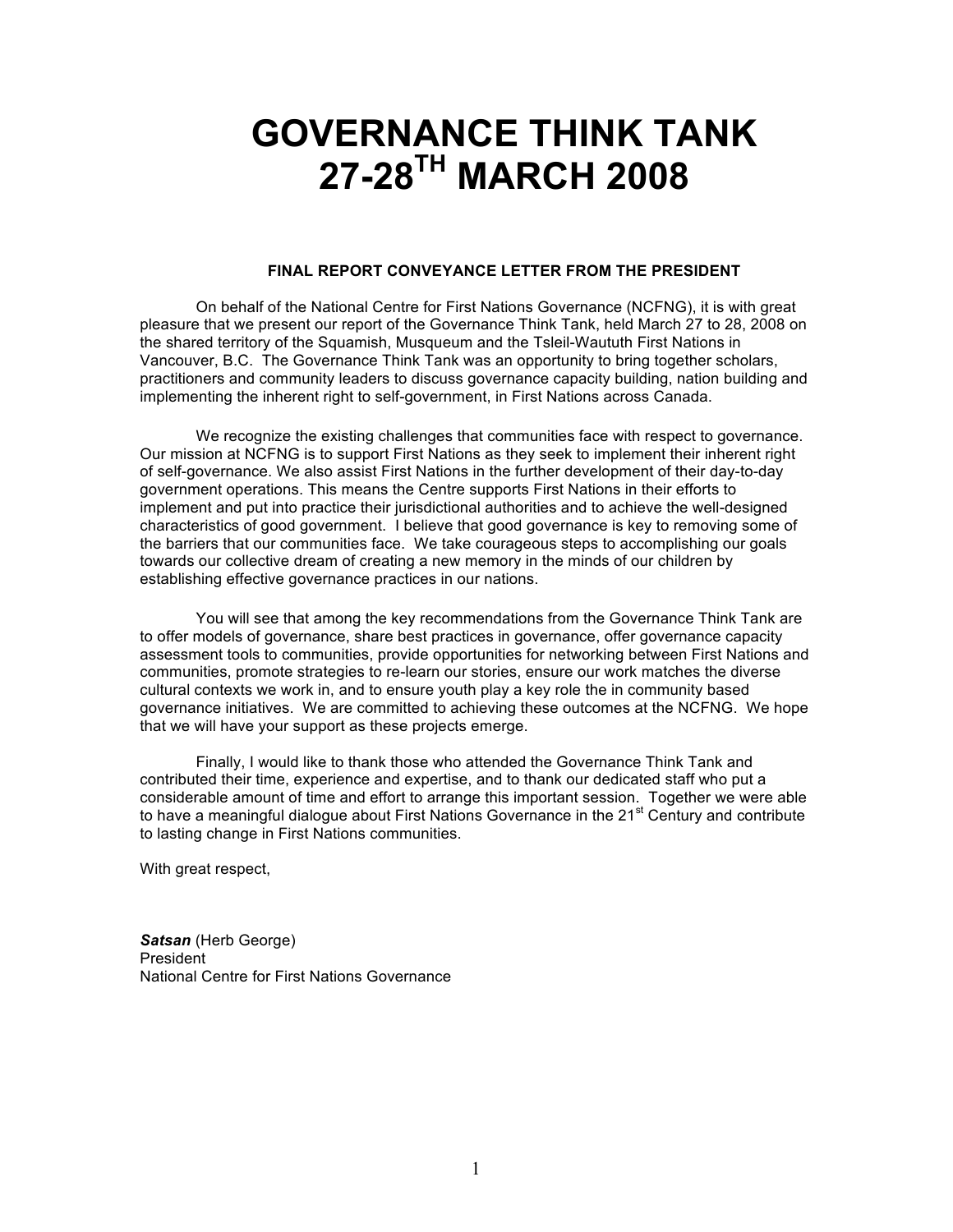# **GOVERNANCE THINK TANK 27-28TH MARCH 2008**

#### **FINAL REPORT CONVEYANCE LETTER FROM THE PRESIDENT**

On behalf of the National Centre for First Nations Governance (NCFNG), it is with great pleasure that we present our report of the Governance Think Tank, held March 27 to 28, 2008 on the shared territory of the Squamish, Musqueum and the Tsleil-Waututh First Nations in Vancouver, B.C. The Governance Think Tank was an opportunity to bring together scholars, practitioners and community leaders to discuss governance capacity building, nation building and implementing the inherent right to self-government, in First Nations across Canada.

We recognize the existing challenges that communities face with respect to governance. Our mission at NCFNG is to support First Nations as they seek to implement their inherent right of self-governance. We also assist First Nations in the further development of their day-to-day government operations. This means the Centre supports First Nations in their efforts to implement and put into practice their jurisdictional authorities and to achieve the well-designed characteristics of good government. I believe that good governance is key to removing some of the barriers that our communities face. We take courageous steps to accomplishing our goals towards our collective dream of creating a new memory in the minds of our children by establishing effective governance practices in our nations.

You will see that among the key recommendations from the Governance Think Tank are to offer models of governance, share best practices in governance, offer governance capacity assessment tools to communities, provide opportunities for networking between First Nations and communities, promote strategies to re-learn our stories, ensure our work matches the diverse cultural contexts we work in, and to ensure youth play a key role the in community based governance initiatives. We are committed to achieving these outcomes at the NCFNG. We hope that we will have your support as these projects emerge.

Finally, I would like to thank those who attended the Governance Think Tank and contributed their time, experience and expertise, and to thank our dedicated staff who put a considerable amount of time and effort to arrange this important session. Together we were able to have a meaningful dialogue about First Nations Governance in the 21<sup>st</sup> Century and contribute to lasting change in First Nations communities.

With great respect,

*Satsan* (Herb George) President National Centre for First Nations Governance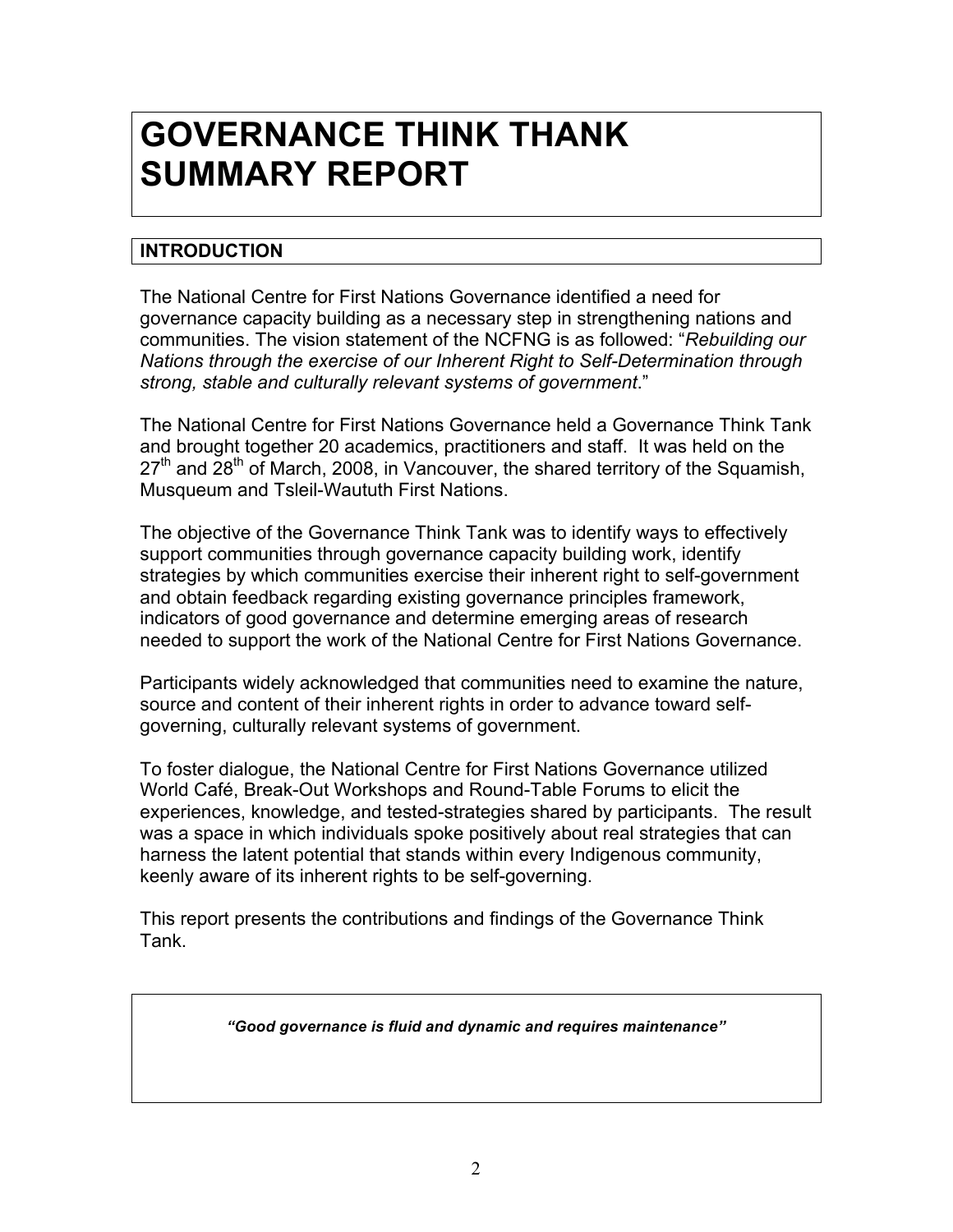# **GOVERNANCE THINK THANK SUMMARY REPORT**

# **INTRODUCTION**

The National Centre for First Nations Governance identified a need for governance capacity building as a necessary step in strengthening nations and communities. The vision statement of the NCFNG is as followed: "*Rebuilding our Nations through the exercise of our Inherent Right to Self-Determination through strong, stable and culturally relevant systems of government*."

The National Centre for First Nations Governance held a Governance Think Tank and brought together 20 academics, practitioners and staff. It was held on the  $27<sup>th</sup>$  and  $28<sup>th</sup>$  of March, 2008, in Vancouver, the shared territory of the Squamish, Musqueum and Tsleil-Waututh First Nations.

The objective of the Governance Think Tank was to identify ways to effectively support communities through governance capacity building work, identify strategies by which communities exercise their inherent right to self-government and obtain feedback regarding existing governance principles framework, indicators of good governance and determine emerging areas of research needed to support the work of the National Centre for First Nations Governance.

Participants widely acknowledged that communities need to examine the nature, source and content of their inherent rights in order to advance toward selfgoverning, culturally relevant systems of government.

To foster dialogue, the National Centre for First Nations Governance utilized World Café, Break-Out Workshops and Round-Table Forums to elicit the experiences, knowledge, and tested-strategies shared by participants. The result was a space in which individuals spoke positively about real strategies that can harness the latent potential that stands within every Indigenous community, keenly aware of its inherent rights to be self-governing.

This report presents the contributions and findings of the Governance Think Tank.

*"Good governance is fluid and dynamic and requires maintenance"*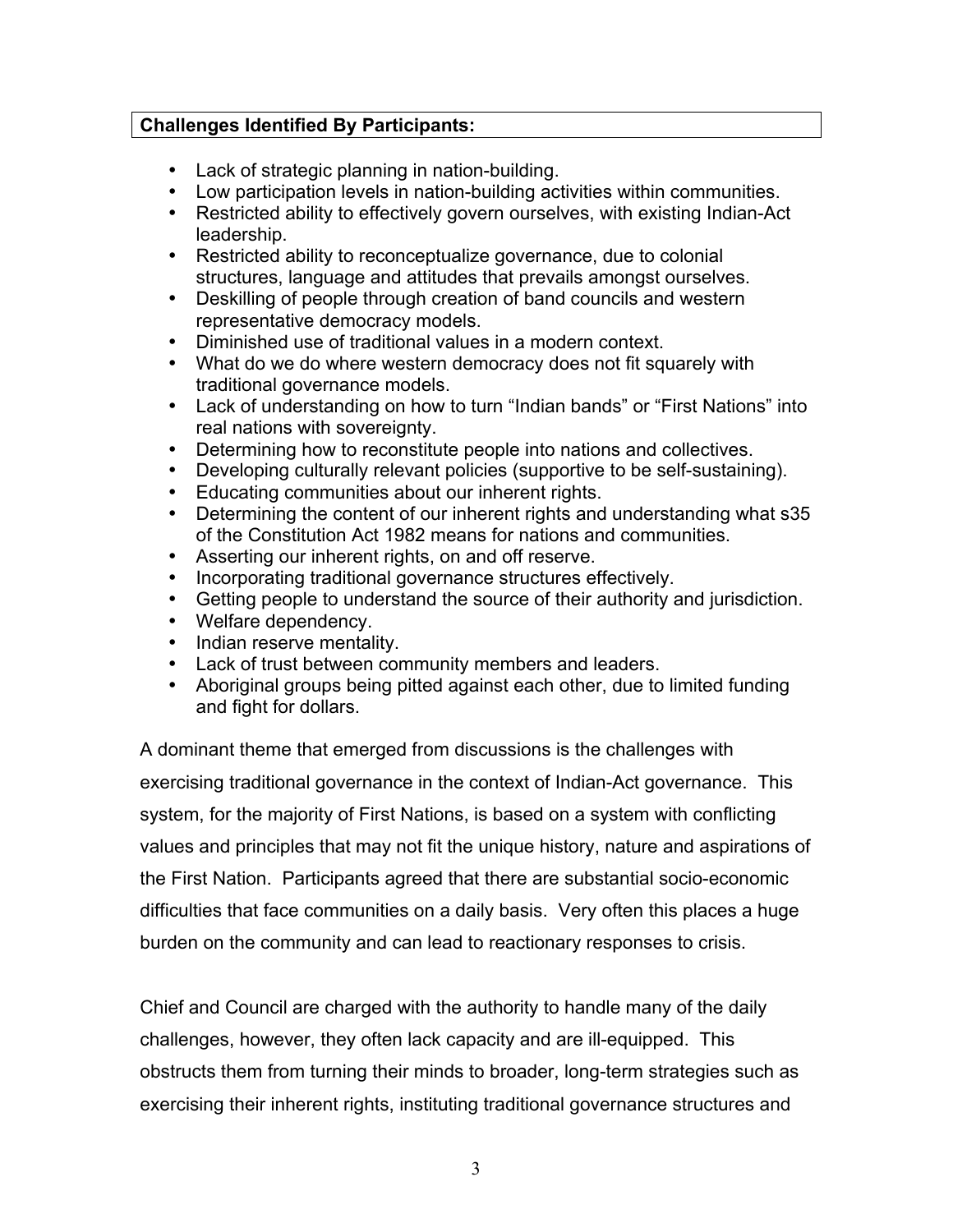# **Challenges Identified By Participants:**

- Lack of strategic planning in nation-building.
- Low participation levels in nation-building activities within communities.
- Restricted ability to effectively govern ourselves, with existing Indian-Act leadership.
- Restricted ability to reconceptualize governance, due to colonial structures, language and attitudes that prevails amongst ourselves.
- Deskilling of people through creation of band councils and western representative democracy models.
- Diminished use of traditional values in a modern context.
- What do we do where western democracy does not fit squarely with traditional governance models.
- Lack of understanding on how to turn "Indian bands" or "First Nations" into real nations with sovereignty.
- Determining how to reconstitute people into nations and collectives.
- Developing culturally relevant policies (supportive to be self-sustaining).
- Educating communities about our inherent rights.
- Determining the content of our inherent rights and understanding what s35 of the Constitution Act 1982 means for nations and communities.
- Asserting our inherent rights, on and off reserve.
- Incorporating traditional governance structures effectively.
- Getting people to understand the source of their authority and jurisdiction.
- Welfare dependency.
- Indian reserve mentality.
- Lack of trust between community members and leaders.
- Aboriginal groups being pitted against each other, due to limited funding and fight for dollars.

A dominant theme that emerged from discussions is the challenges with exercising traditional governance in the context of Indian-Act governance. This system, for the majority of First Nations, is based on a system with conflicting values and principles that may not fit the unique history, nature and aspirations of the First Nation. Participants agreed that there are substantial socio-economic difficulties that face communities on a daily basis. Very often this places a huge burden on the community and can lead to reactionary responses to crisis.

Chief and Council are charged with the authority to handle many of the daily challenges, however, they often lack capacity and are ill-equipped. This obstructs them from turning their minds to broader, long-term strategies such as exercising their inherent rights, instituting traditional governance structures and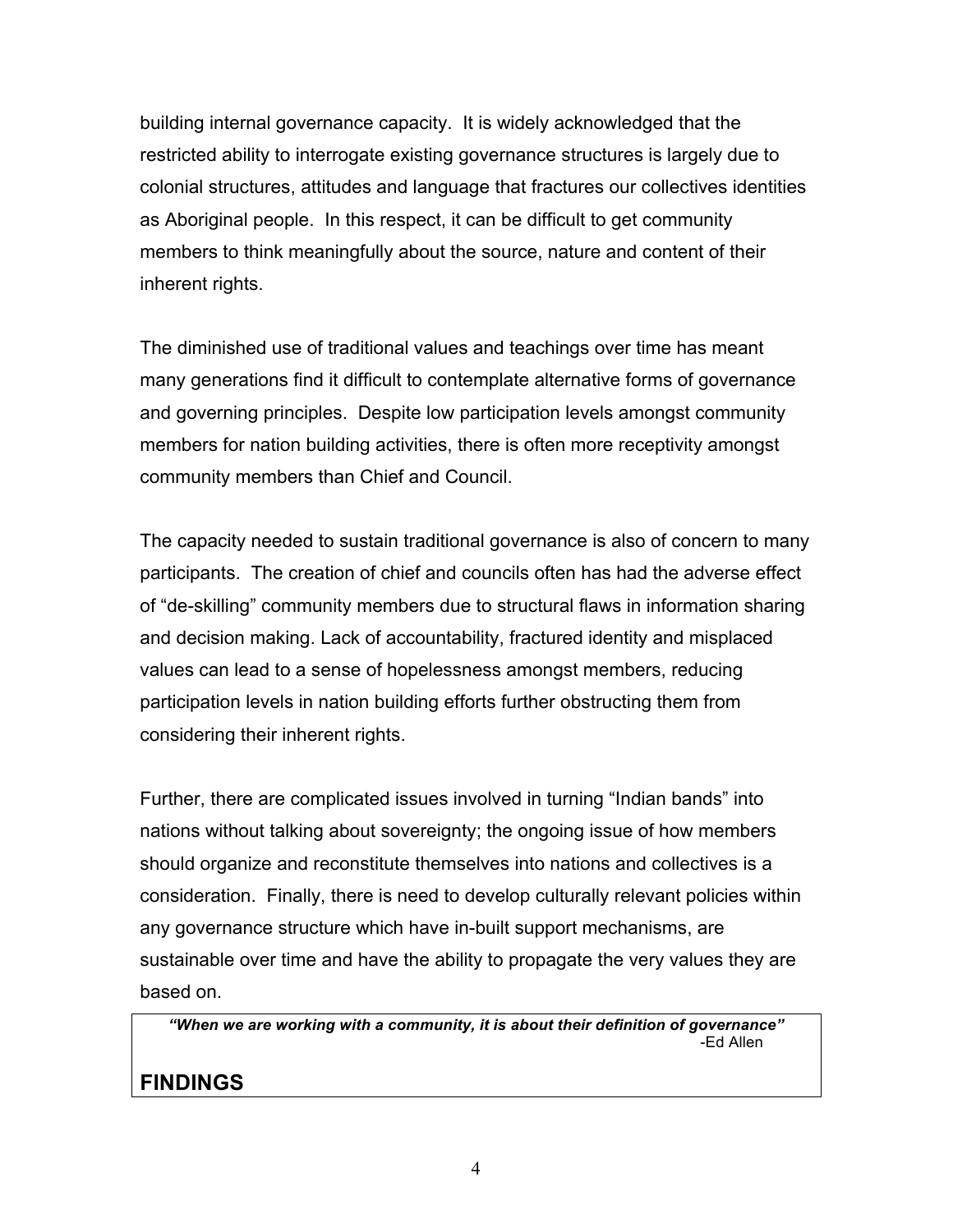building internal governance capacity. It is widely acknowledged that the restricted ability to interrogate existing governance structures is largely due to colonial structures, attitudes and language that fractures our collectives identities as Aboriginal people. In this respect, it can be difficult to get community members to think meaningfully about the source, nature and content of their inherent rights.

The diminished use of traditional values and teachings over time has meant many generations find it difficult to contemplate alternative forms of governance and governing principles. Despite low participation levels amongst community members for nation building activities, there is often more receptivity amongst community members than Chief and Council.

The capacity needed to sustain traditional governance is also of concern to many participants. The creation of chief and councils often has had the adverse effect of "de-skilling" community members due to structural flaws in information sharing and decision making. Lack of accountability, fractured identity and misplaced values can lead to a sense of hopelessness amongst members, reducing participation levels in nation building efforts further obstructing them from considering their inherent rights.

Further, there are complicated issues involved in turning "Indian bands" into nations without talking about sovereignty; the ongoing issue of how members should organize and reconstitute themselves into nations and collectives is a consideration. Finally, there is need to develop culturally relevant policies within any governance structure which have in-built support mechanisms, are sustainable over time and have the ability to propagate the very values they are based on.

*"When we are working with a community, it is about their definition of governance"* -Ed Allen

# **FINDINGS**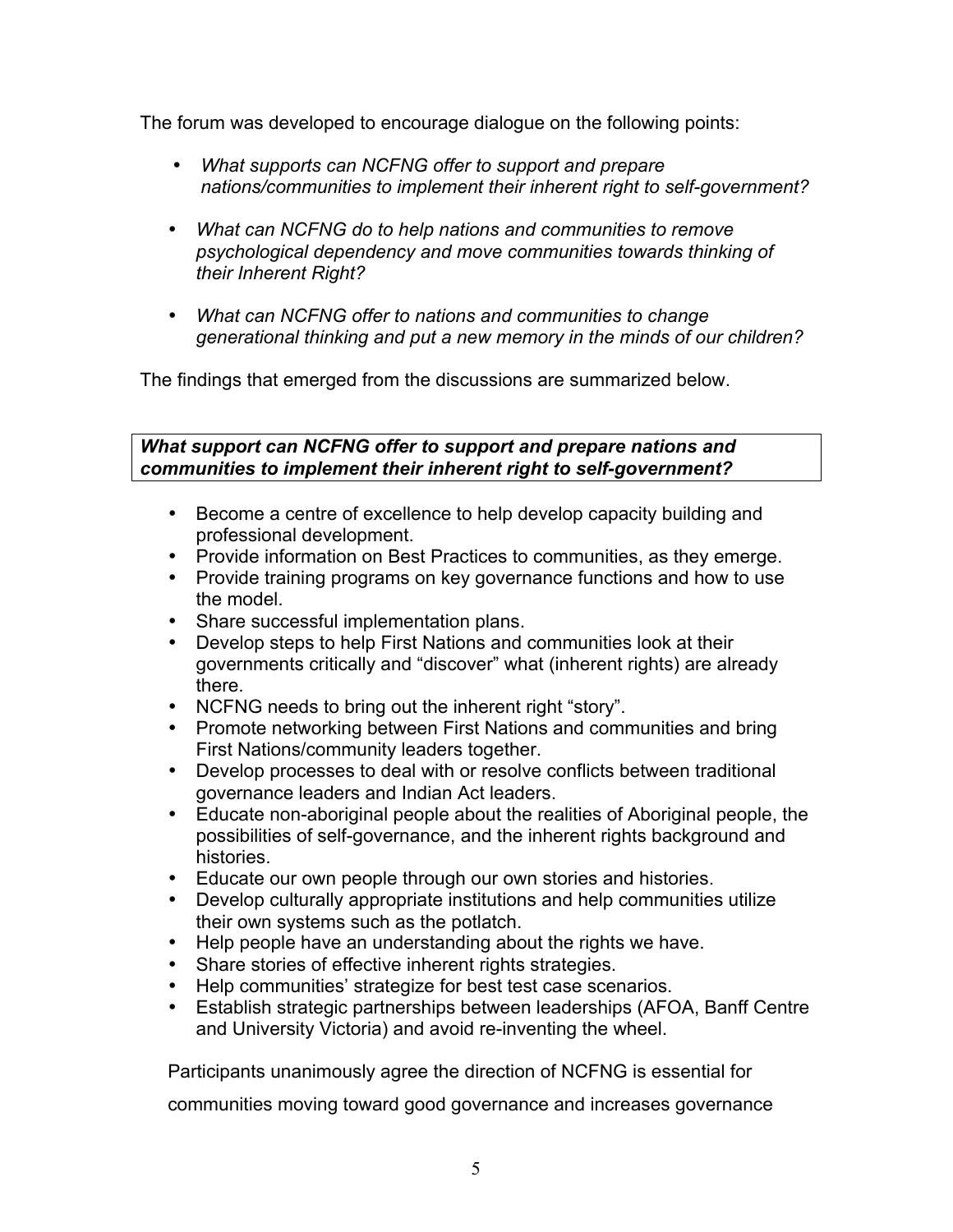The forum was developed to encourage dialogue on the following points:

- *What supports can NCFNG offer to support and prepare nations/communities to implement their inherent right to self-government?*
- *What can NCFNG do to help nations and communities to remove psychological dependency and move communities towards thinking of their Inherent Right?*
- *What can NCFNG offer to nations and communities to change generational thinking and put a new memory in the minds of our children?*

The findings that emerged from the discussions are summarized below.

*What support can NCFNG offer to support and prepare nations and communities to implement their inherent right to self-government?*

- Become a centre of excellence to help develop capacity building and professional development.
- Provide information on Best Practices to communities, as they emerge.
- Provide training programs on key governance functions and how to use the model.
- Share successful implementation plans.
- Develop steps to help First Nations and communities look at their governments critically and "discover" what (inherent rights) are already there.
- NCFNG needs to bring out the inherent right "story".
- Promote networking between First Nations and communities and bring First Nations/community leaders together.
- Develop processes to deal with or resolve conflicts between traditional governance leaders and Indian Act leaders.
- Educate non-aboriginal people about the realities of Aboriginal people, the possibilities of self-governance, and the inherent rights background and histories.
- Educate our own people through our own stories and histories.
- Develop culturally appropriate institutions and help communities utilize their own systems such as the potlatch.
- Help people have an understanding about the rights we have.
- Share stories of effective inherent rights strategies.
- Help communities' strategize for best test case scenarios.
- Establish strategic partnerships between leaderships (AFOA, Banff Centre and University Victoria) and avoid re-inventing the wheel.

Participants unanimously agree the direction of NCFNG is essential for

communities moving toward good governance and increases governance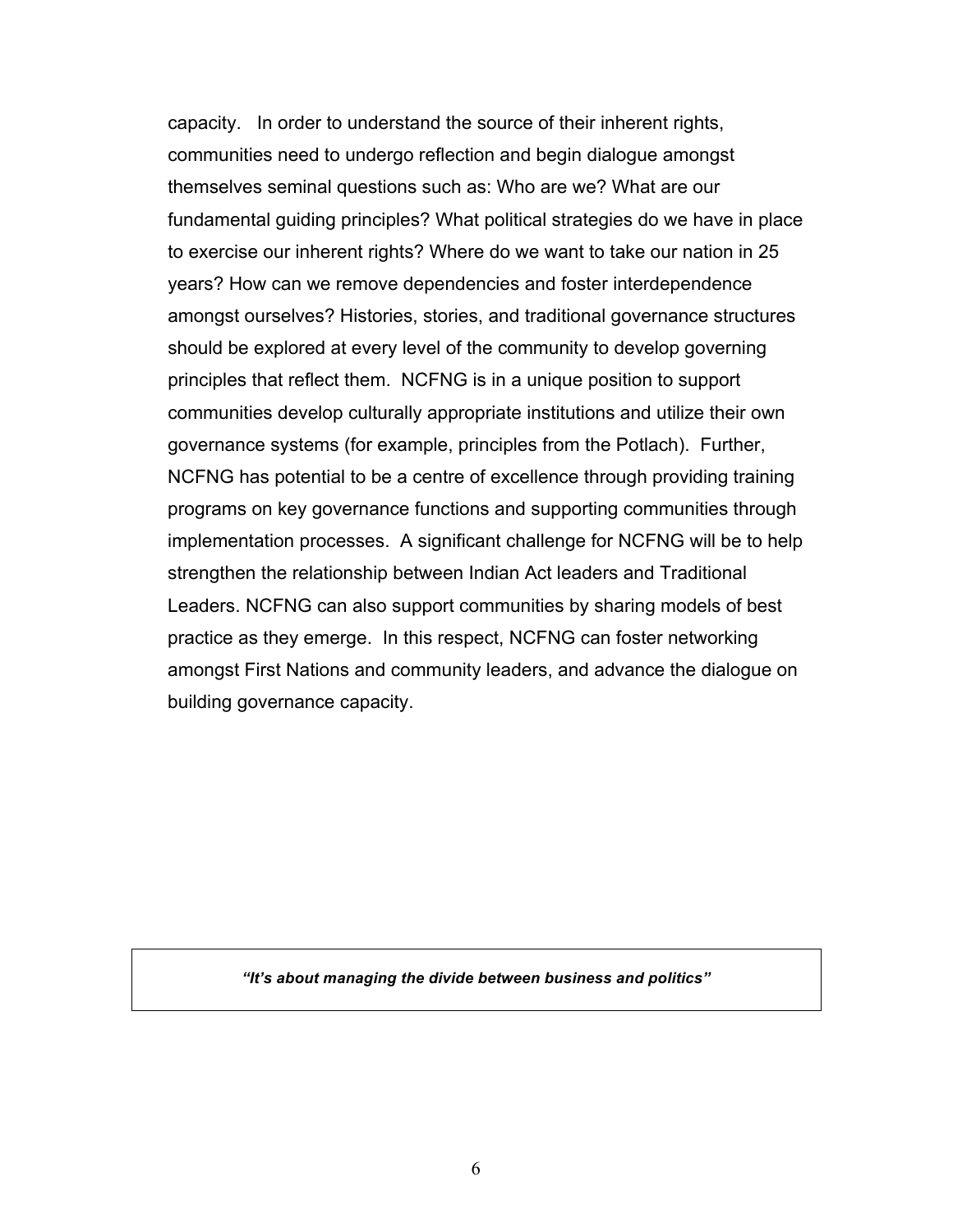capacity. In order to understand the source of their inherent rights, communities need to undergo reflection and begin dialogue amongst themselves seminal questions such as: Who are we? What are our fundamental guiding principles? What political strategies do we have in place to exercise our inherent rights? Where do we want to take our nation in 25 years? How can we remove dependencies and foster interdependence amongst ourselves? Histories, stories, and traditional governance structures should be explored at every level of the community to develop governing principles that reflect them. NCFNG is in a unique position to support communities develop culturally appropriate institutions and utilize their own governance systems (for example, principles from the Potlach). Further, NCFNG has potential to be a centre of excellence through providing training programs on key governance functions and supporting communities through implementation processes. A significant challenge for NCFNG will be to help strengthen the relationship between Indian Act leaders and Traditional Leaders. NCFNG can also support communities by sharing models of best practice as they emerge. In this respect, NCFNG can foster networking amongst First Nations and community leaders, and advance the dialogue on building governance capacity.

*"It's about managing the divide between business and politics"*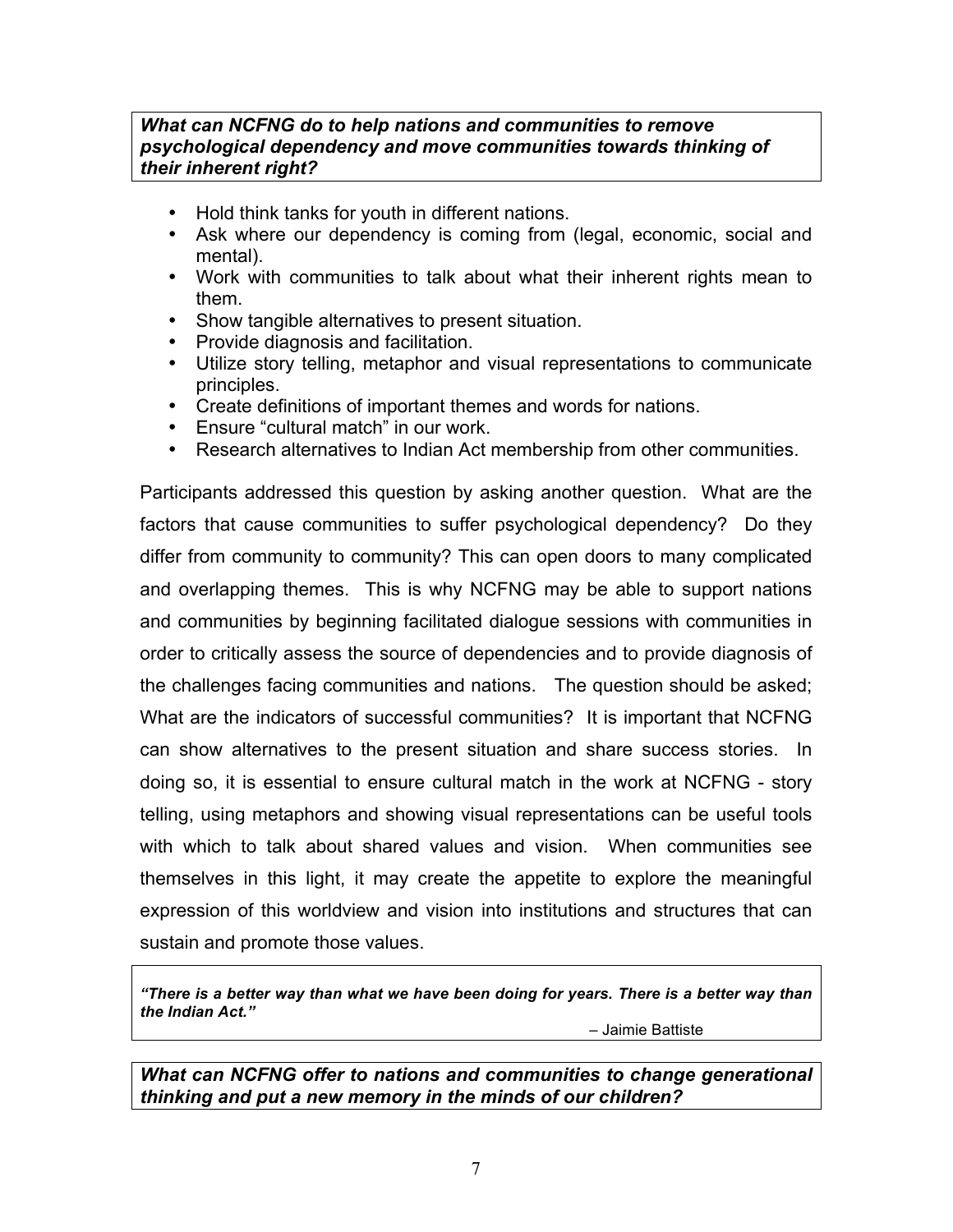### *What can NCFNG do to help nations and communities to remove psychological dependency and move communities towards thinking of their inherent right?*

- Hold think tanks for youth in different nations.
- Ask where our dependency is coming from (legal, economic, social and mental).
- Work with communities to talk about what their inherent rights mean to them.
- Show tangible alternatives to present situation.
- Provide diagnosis and facilitation.
- Utilize story telling, metaphor and visual representations to communicate principles.
- Create definitions of important themes and words for nations.
- Ensure "cultural match" in our work.
- Research alternatives to Indian Act membership from other communities.

Participants addressed this question by asking another question. What are the factors that cause communities to suffer psychological dependency? Do they differ from community to community? This can open doors to many complicated and overlapping themes. This is why NCFNG may be able to support nations and communities by beginning facilitated dialogue sessions with communities in order to critically assess the source of dependencies and to provide diagnosis of the challenges facing communities and nations. The question should be asked; What are the indicators of successful communities? It is important that NCFNG can show alternatives to the present situation and share success stories. In doing so, it is essential to ensure cultural match in the work at NCFNG - story telling, using metaphors and showing visual representations can be useful tools with which to talk about shared values and vision. When communities see themselves in this light, it may create the appetite to explore the meaningful expression of this worldview and vision into institutions and structures that can sustain and promote those values.

*"There is a better way than what we have been doing for years. There is a better way than the Indian Act."* 

– Jaimie Battiste

*What can NCFNG offer to nations and communities to change generational thinking and put a new memory in the minds of our children?*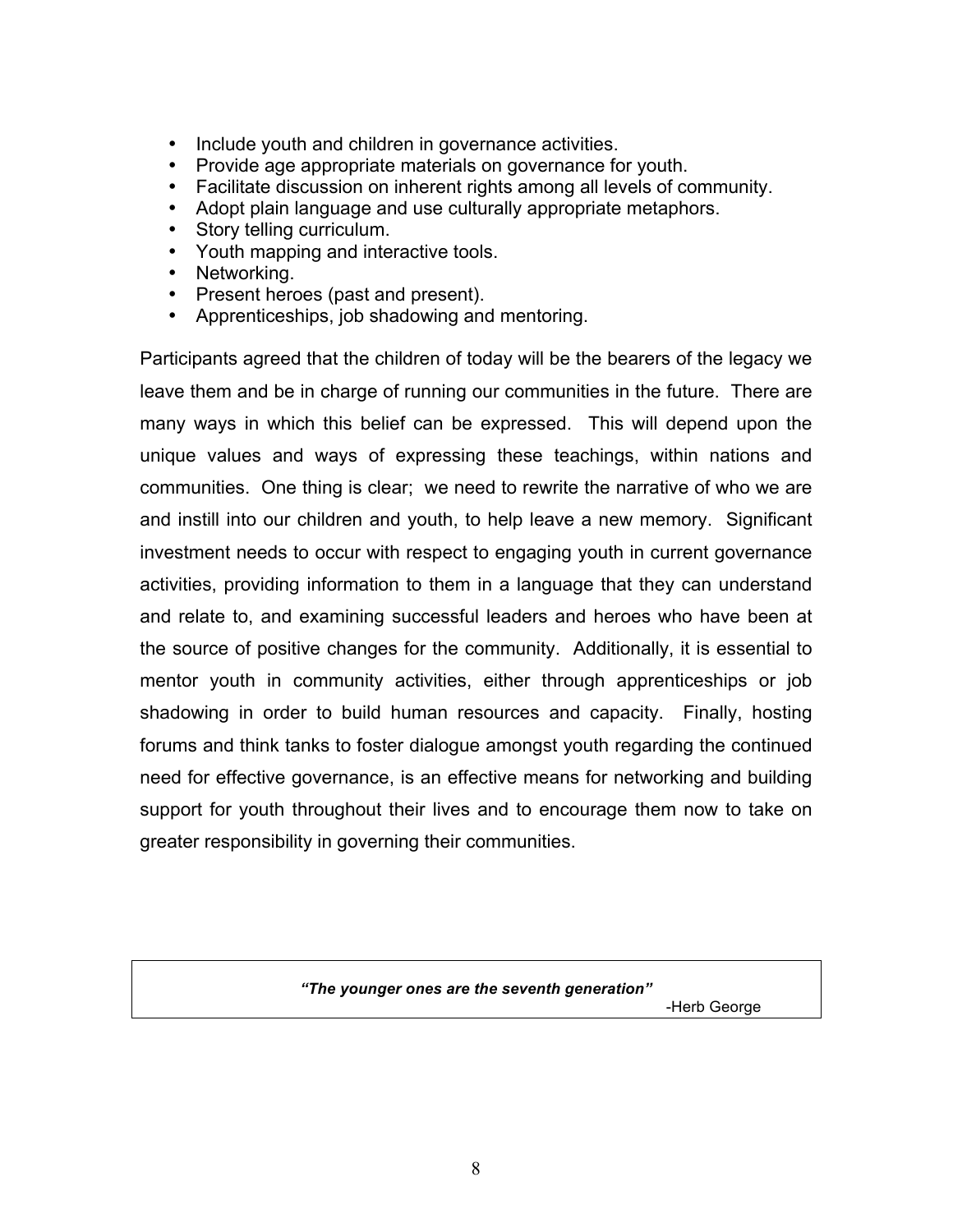- Include youth and children in governance activities.
- Provide age appropriate materials on governance for youth.
- Facilitate discussion on inherent rights among all levels of community.
- Adopt plain language and use culturally appropriate metaphors.
- Story telling curriculum.
- Youth mapping and interactive tools.
- Networking.
- Present heroes (past and present).
- Apprenticeships, job shadowing and mentoring.

Participants agreed that the children of today will be the bearers of the legacy we leave them and be in charge of running our communities in the future. There are many ways in which this belief can be expressed. This will depend upon the unique values and ways of expressing these teachings, within nations and communities. One thing is clear; we need to rewrite the narrative of who we are and instill into our children and youth, to help leave a new memory. Significant investment needs to occur with respect to engaging youth in current governance activities, providing information to them in a language that they can understand and relate to, and examining successful leaders and heroes who have been at the source of positive changes for the community. Additionally, it is essential to mentor youth in community activities, either through apprenticeships or job shadowing in order to build human resources and capacity. Finally, hosting forums and think tanks to foster dialogue amongst youth regarding the continued need for effective governance, is an effective means for networking and building support for youth throughout their lives and to encourage them now to take on greater responsibility in governing their communities.

*"The younger ones are the seventh generation"*

8

-Herb George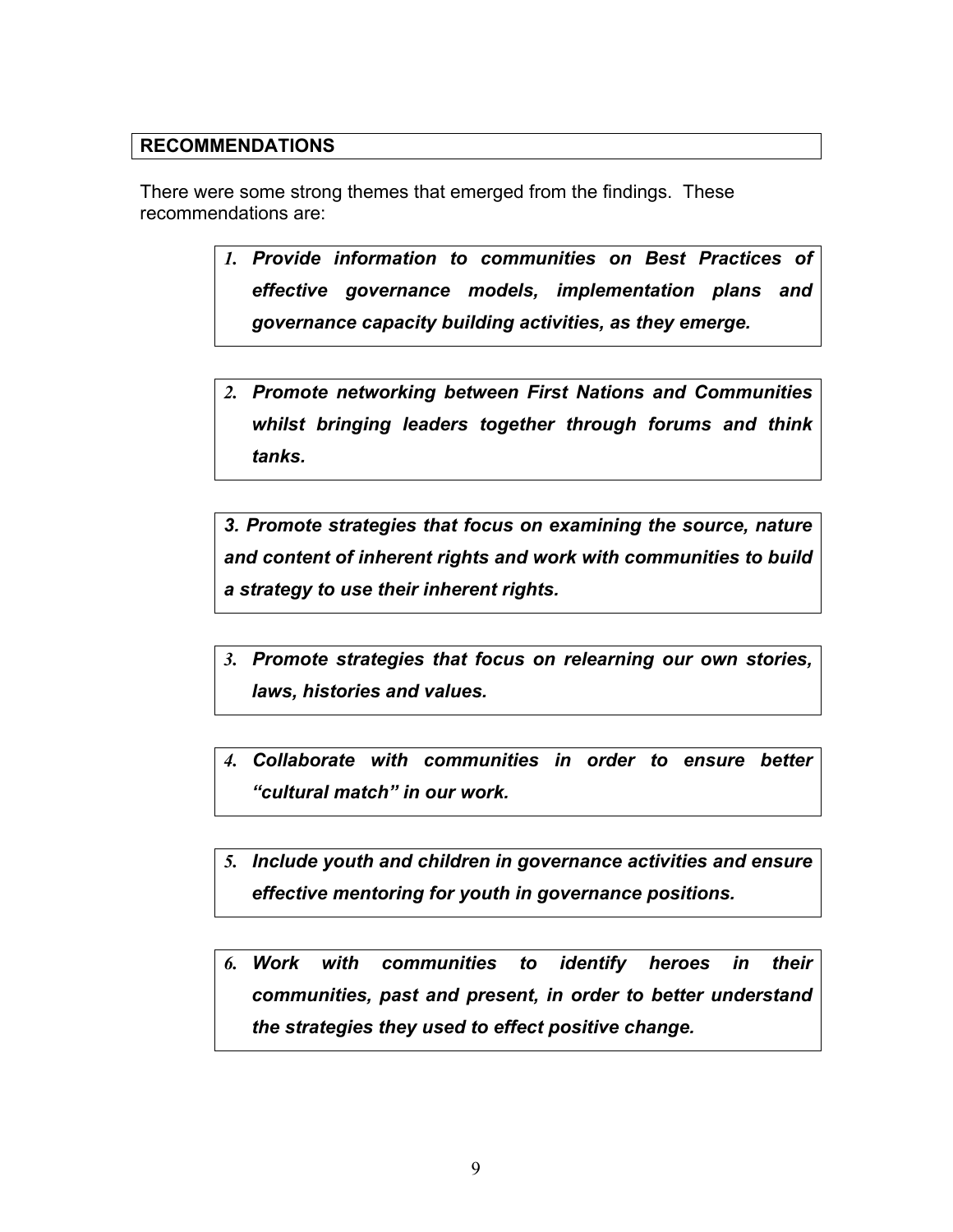#### **RECOMMENDATIONS**

There were some strong themes that emerged from the findings. These recommendations are:

- *1. Provide information to communities on Best Practices of effective governance models, implementation plans and governance capacity building activities, as they emerge.*
- *2. Promote networking between First Nations and Communities whilst bringing leaders together through forums and think tanks.*

*3. Promote strategies that focus on examining the source, nature and content of inherent rights and work with communities to build a strategy to use their inherent rights.*

- *3. Promote strategies that focus on relearning our own stories, laws, histories and values.*
- *4. Collaborate with communities in order to ensure better "cultural match" in our work.*
- *5. Include youth and children in governance activities and ensure effective mentoring for youth in governance positions.*
- *6. Work with communities to identify heroes in their communities, past and present, in order to better understand the strategies they used to effect positive change.*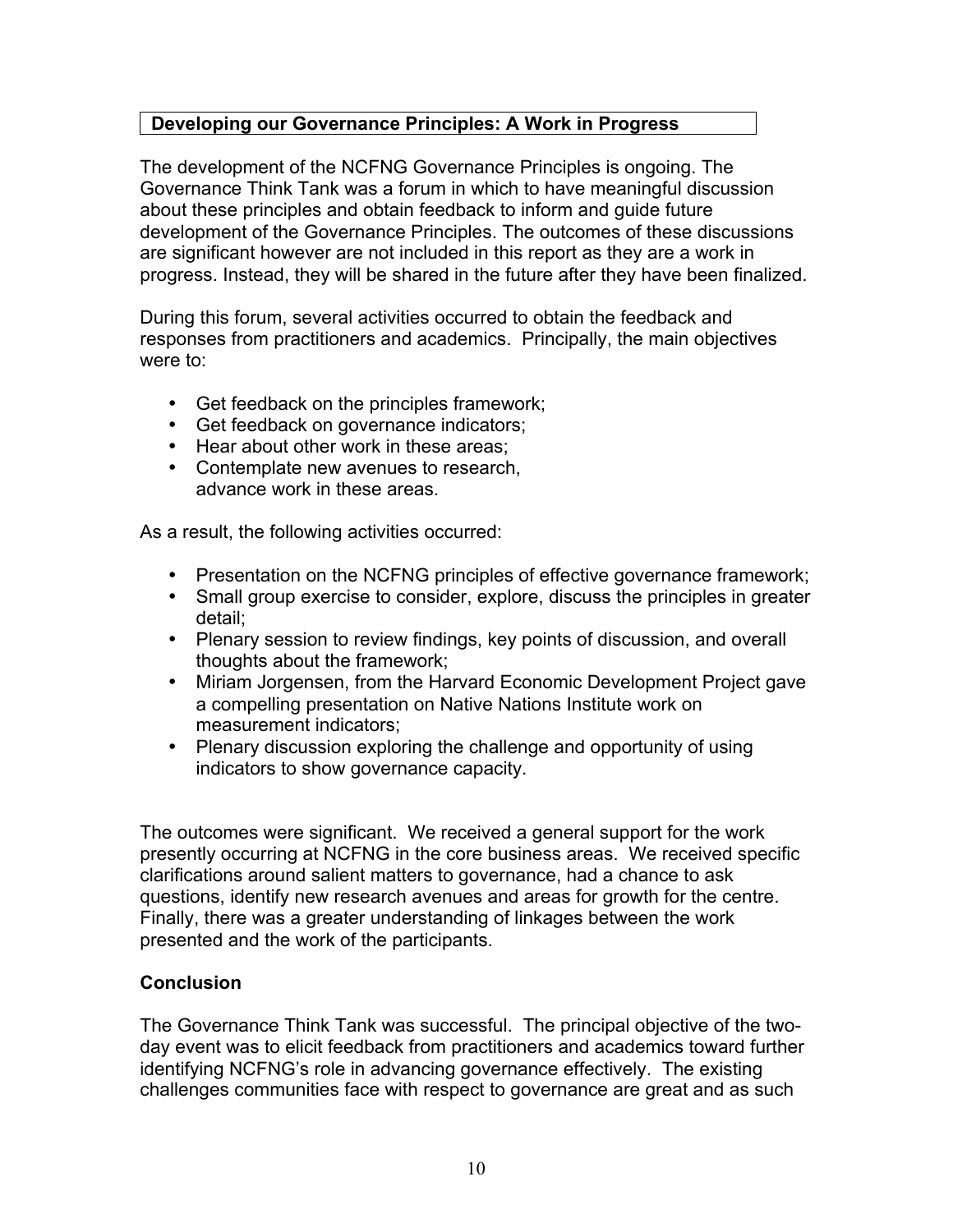# **Developing our Governance Principles: A Work in Progress**

The development of the NCFNG Governance Principles is ongoing. The Governance Think Tank was a forum in which to have meaningful discussion about these principles and obtain feedback to inform and guide future development of the Governance Principles. The outcomes of these discussions are significant however are not included in this report as they are a work in progress. Instead, they will be shared in the future after they have been finalized.

During this forum, several activities occurred to obtain the feedback and responses from practitioners and academics. Principally, the main objectives were to:

- Get feedback on the principles framework;
- Get feedback on governance indicators;
- Hear about other work in these areas;
- Contemplate new avenues to research, advance work in these areas.

As a result, the following activities occurred:

- Presentation on the NCFNG principles of effective governance framework;
- Small group exercise to consider, explore, discuss the principles in greater detail;
- Plenary session to review findings, key points of discussion, and overall thoughts about the framework;
- Miriam Jorgensen, from the Harvard Economic Development Project gave a compelling presentation on Native Nations Institute work on measurement indicators;
- Plenary discussion exploring the challenge and opportunity of using indicators to show governance capacity.

The outcomes were significant. We received a general support for the work presently occurring at NCFNG in the core business areas. We received specific clarifications around salient matters to governance, had a chance to ask questions, identify new research avenues and areas for growth for the centre. Finally, there was a greater understanding of linkages between the work presented and the work of the participants.

### **Conclusion**

The Governance Think Tank was successful. The principal objective of the twoday event was to elicit feedback from practitioners and academics toward further identifying NCFNG's role in advancing governance effectively. The existing challenges communities face with respect to governance are great and as such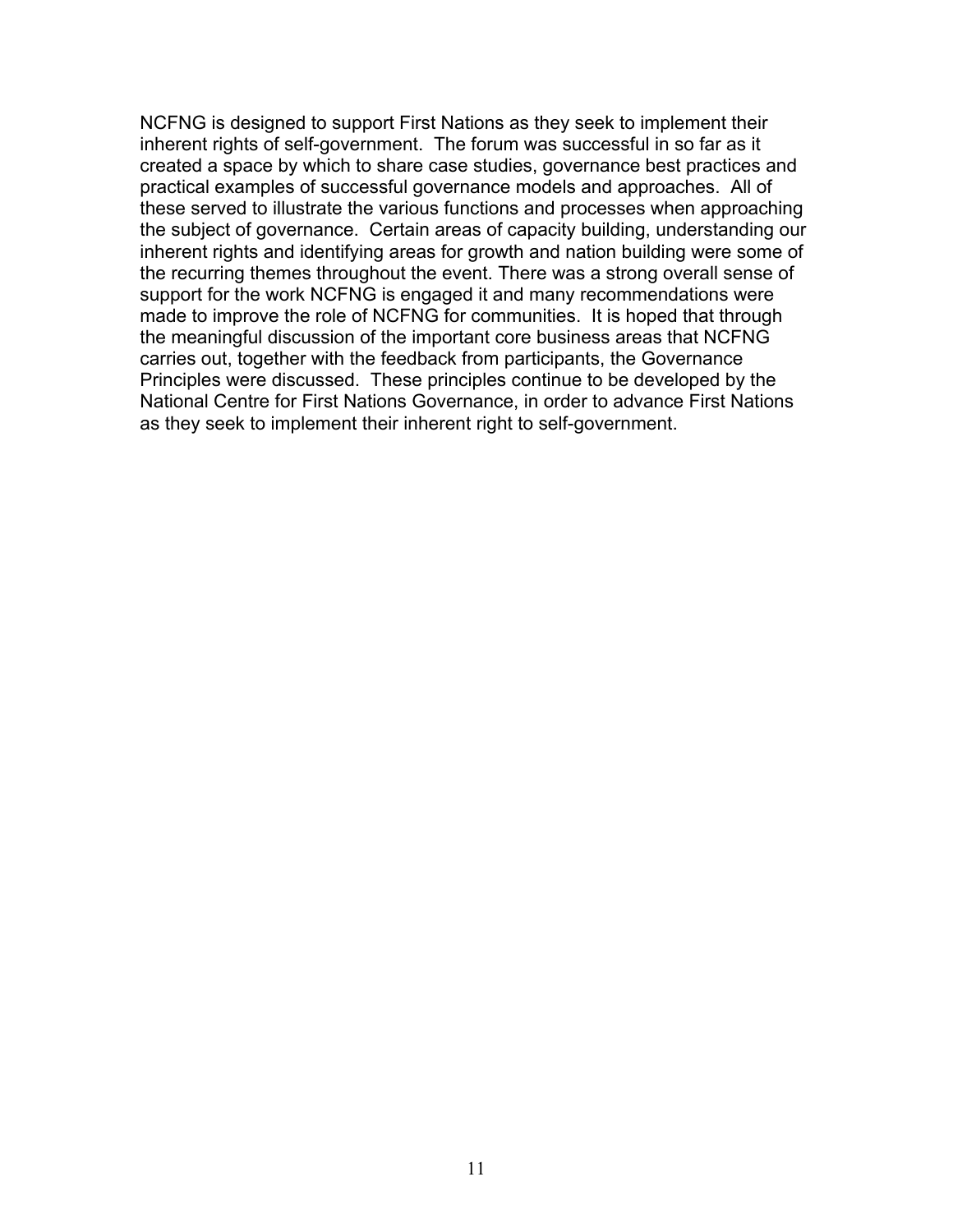NCFNG is designed to support First Nations as they seek to implement their inherent rights of self-government. The forum was successful in so far as it created a space by which to share case studies, governance best practices and practical examples of successful governance models and approaches. All of these served to illustrate the various functions and processes when approaching the subject of governance. Certain areas of capacity building, understanding our inherent rights and identifying areas for growth and nation building were some of the recurring themes throughout the event. There was a strong overall sense of support for the work NCFNG is engaged it and many recommendations were made to improve the role of NCFNG for communities. It is hoped that through the meaningful discussion of the important core business areas that NCFNG carries out, together with the feedback from participants, the Governance Principles were discussed. These principles continue to be developed by the National Centre for First Nations Governance, in order to advance First Nations as they seek to implement their inherent right to self-government.